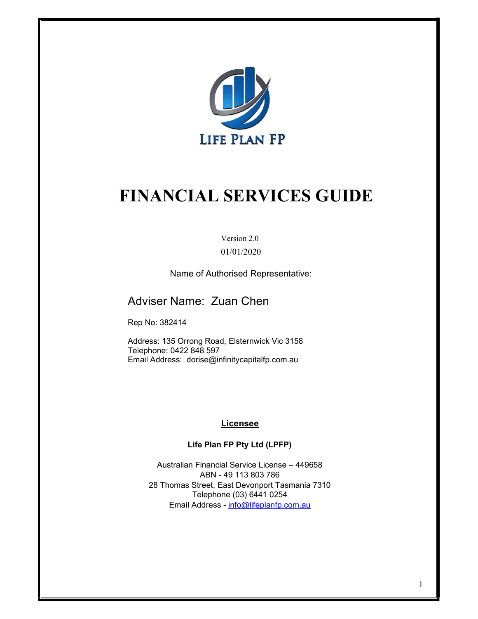

# FINANCIAL SERVICES GUIDE

Version 2.0 01/01/2020

Name of Authorised Representative:

### Adviser Name: Zuan Chen

Rep No: 382414

Address: 135 Orrong Road, Elsternwick Vic 3158 Telephone: 0422 848 597 Email Address: dorise@infinitycapitalfp.com.au

#### **Licensee**

#### Life Plan FP Pty Ltd (LPFP)

Australian Financial Service License – 449658 ABN - 49 113 803 786 28 Thomas Street, East Devonport Tasmania 7310 Telephone (03) 6441 0254 Email Address - info@lifeplanfp.com.au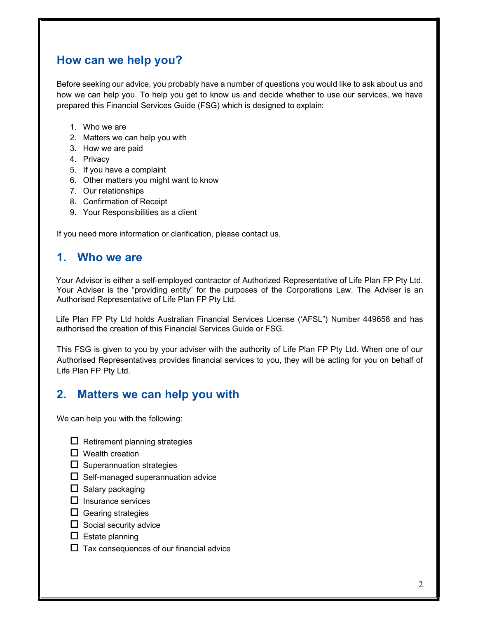## How can we help you?

Before seeking our advice, you probably have a number of questions you would like to ask about us and how we can help you. To help you get to know us and decide whether to use our services, we have prepared this Financial Services Guide (FSG) which is designed to explain:

- 1. Who we are
- 2. Matters we can help you with
- 3. How we are paid
- 4. Privacy
- 5. If you have a complaint
- 6. Other matters you might want to know
- 7. Our relationships
- 8. Confirmation of Receipt
- 9. Your Responsibilities as a client

If you need more information or clarification, please contact us.

### 1. Who we are

Your Advisor is either a self-employed contractor of Authorized Representative of Life Plan FP Pty Ltd. Your Adviser is the "providing entity" for the purposes of the Corporations Law. The Adviser is an Authorised Representative of Life Plan FP Pty Ltd.

Life Plan FP Pty Ltd holds Australian Financial Services License ('AFSL") Number 449658 and has authorised the creation of this Financial Services Guide or FSG.

This FSG is given to you by your adviser with the authority of Life Plan FP Pty Ltd. When one of our Authorised Representatives provides financial services to you, they will be acting for you on behalf of Life Plan FP Pty Ltd.

### 2. Matters we can help you with

We can help you with the following:

- $\Box$  Retirement planning strategies
- $\Box$  Wealth creation
- $\Box$  Superannuation strategies
- $\Box$  Self-managed superannuation advice
- $\square$  Salary packaging
- $\square$  Insurance services
- $\Box$  Gearing strategies
- $\Box$  Social security advice
- $\square$  Estate planning
- $\Box$  Tax consequences of our financial advice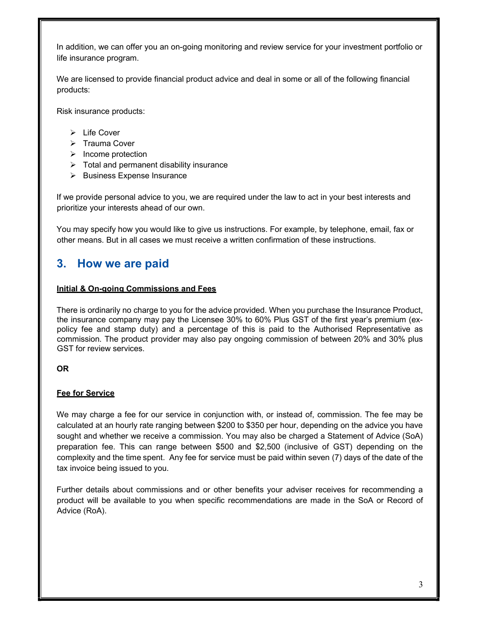In addition, we can offer you an on-going monitoring and review service for your investment portfolio or life insurance program.

We are licensed to provide financial product advice and deal in some or all of the following financial products:

Risk insurance products:

- $\triangleright$  Life Cover
- $\triangleright$  Trauma Cover
- $\triangleright$  Income protection
- $\triangleright$  Total and permanent disability insurance
- $\triangleright$  Business Expense Insurance

If we provide personal advice to you, we are required under the law to act in your best interests and prioritize your interests ahead of our own.

You may specify how you would like to give us instructions. For example, by telephone, email, fax or other means. But in all cases we must receive a written confirmation of these instructions.

### 3. How we are paid

#### Initial & On-going Commissions and Fees

There is ordinarily no charge to you for the advice provided. When you purchase the Insurance Product, the insurance company may pay the Licensee 30% to 60% Plus GST of the first year's premium (expolicy fee and stamp duty) and a percentage of this is paid to the Authorised Representative as commission. The product provider may also pay ongoing commission of between 20% and 30% plus GST for review services.

#### OR

#### Fee for Service

We may charge a fee for our service in conjunction with, or instead of, commission. The fee may be calculated at an hourly rate ranging between \$200 to \$350 per hour, depending on the advice you have sought and whether we receive a commission. You may also be charged a Statement of Advice (SoA) preparation fee. This can range between \$500 and \$2,500 (inclusive of GST) depending on the complexity and the time spent. Any fee for service must be paid within seven (7) days of the date of the tax invoice being issued to you.

Further details about commissions and or other benefits your adviser receives for recommending a product will be available to you when specific recommendations are made in the SoA or Record of Advice (RoA).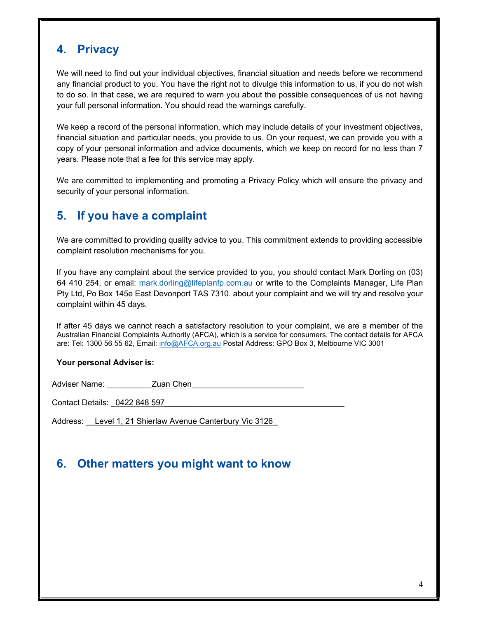# 4. Privacy

We will need to find out your individual objectives, financial situation and needs before we recommend any financial product to you. You have the right not to divulge this information to us, if you do not wish to do so. In that case, we are required to warn you about the possible consequences of us not having your full personal information. You should read the warnings carefully.

We keep a record of the personal information, which may include details of your investment objectives, financial situation and particular needs, you provide to us. On your request, we can provide you with a copy of your personal information and advice documents, which we keep on record for no less than 7 years. Please note that a fee for this service may apply.

We are committed to implementing and promoting a Privacy Policy which will ensure the privacy and security of your personal information.

## 5. If you have a complaint

We are committed to providing quality advice to you. This commitment extends to providing accessible complaint resolution mechanisms for you.

If you have any complaint about the service provided to you, you should contact Mark Dorling on (03) 64 410 254, or email: mark.dorling@lifeplanfp.com.au or write to the Complaints Manager, Life Plan Pty Ltd, Po Box 145e East Devonport TAS 7310. about your complaint and we will try and resolve your complaint within 45 days.

If after 45 days we cannot reach a satisfactory resolution to your complaint, we are a member of the Australian Financial Complaints Authority (AFCA), which is a service for consumers. The contact details for AFCA are: Tel: 1300 56 55 62, Email: info@AFCA.org.au Postal Address: GPO Box 3, Melbourne VIC 3001

#### Your personal Adviser is:

Adviser Name: The Manus Chen

Contact Details: 0422 848 597

Address: Level 1, 21 Shierlaw Avenue Canterbury Vic 3126

# 6. Other matters you might want to know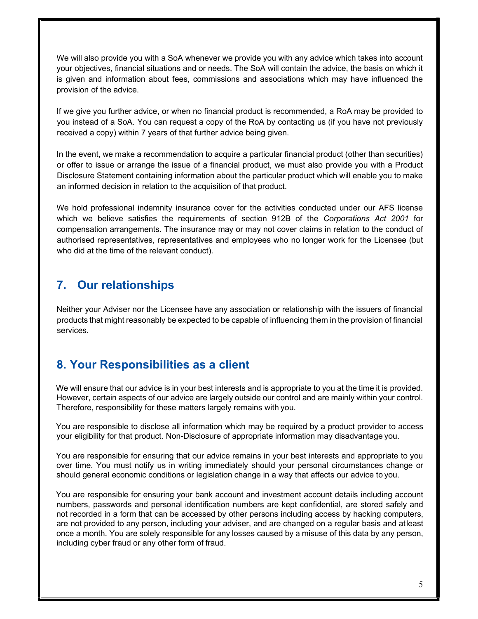We will also provide you with a SoA whenever we provide you with any advice which takes into account your objectives, financial situations and or needs. The SoA will contain the advice, the basis on which it is given and information about fees, commissions and associations which may have influenced the provision of the advice.

If we give you further advice, or when no financial product is recommended, a RoA may be provided to you instead of a SoA. You can request a copy of the RoA by contacting us (if you have not previously received a copy) within 7 years of that further advice being given.

In the event, we make a recommendation to acquire a particular financial product (other than securities) or offer to issue or arrange the issue of a financial product, we must also provide you with a Product Disclosure Statement containing information about the particular product which will enable you to make an informed decision in relation to the acquisition of that product.

We hold professional indemnity insurance cover for the activities conducted under our AFS license which we believe satisfies the requirements of section 912B of the Corporations Act 2001 for compensation arrangements. The insurance may or may not cover claims in relation to the conduct of authorised representatives, representatives and employees who no longer work for the Licensee (but who did at the time of the relevant conduct).

# 7. Our relationships

Neither your Adviser nor the Licensee have any association or relationship with the issuers of financial products that might reasonably be expected to be capable of influencing them in the provision of financial services.

# 8. Your Responsibilities as a client

We will ensure that our advice is in your best interests and is appropriate to you at the time it is provided. However, certain aspects of our advice are largely outside our control and are mainly within your control. Therefore, responsibility for these matters largely remains with you.

You are responsible to disclose all information which may be required by a product provider to access your eligibility for that product. Non-Disclosure of appropriate information may disadvantage you.

You are responsible for ensuring that our advice remains in your best interests and appropriate to you over time. You must notify us in writing immediately should your personal circumstances change or should general economic conditions or legislation change in a way that affects our advice to you.

You are responsible for ensuring your bank account and investment account details including account numbers, passwords and personal identification numbers are kept confidential, are stored safely and not recorded in a form that can be accessed by other persons including access by hacking computers, are not provided to any person, including your adviser, and are changed on a regular basis and at least once a month. You are solely responsible for any losses caused by a misuse of this data by any person, including cyber fraud or any other form of fraud.